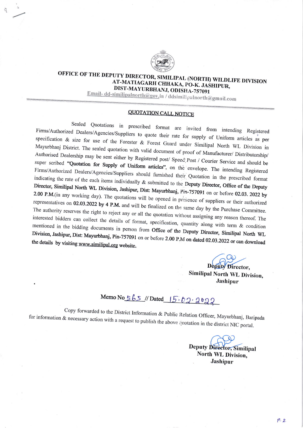

## OFFICE OF THE DEPUTY DIRECTOR, SIMILIPAL (NORTH) WILDLIFE DIVISION AT-MATIAGARH CHHAKA, PO-K. JASHIPUR, DIST-MAYURBHANJ, ODISHA-757091

Email-dd-similipalnorth@gov.in / ddsimilipalnorth@gmail.com

## **QUOTATION CALL NOTICE**

Sealed Quotations in prescribed format are invited from intending Registered Firms/Authorized Dealers/Agencies/Suppliers to quote their rate for supply of Uniform articles as per specification & size for use of the Forester & Forest Guard under Similipal North WL Division in Mayurbhanj District. The sealed quotation with valid document of proof of Manufacturer/ Distributorship/ Authorised Dealership may be sent either by Registered post/ Speed: Post / Courier Service and should be super scribed "Quotation for Supply of Uniform articles", on the envelope. The intending Registered Firms/Authorized Dealers/Agencies/Suppliers should furnished their Quotation in the prescribed format indicating the rate of the each items individually & submitted to the Deputy Director, Office of the Deputy Director, Similipal North WL Division, Jashipur, Dist: Mayurbhanj, Pin-757091 on or before 02.03. 2022 by 2.00 P.M.(in any working day). The quotations will be opened in presence of suppliers or their authorized representatives on 02.03.2022 by 4 P.M. and will be finalized on the same day by the Purchase Committee. The authority reserves the right to reject any or all the quotation without assigning any reason thereof. The interested bidders can collect the details of format, specification, quantity along with term & condition mentioned in the bidding documents in person from Office of the Deputy Director, Similipal North WL Division, Jashipur, Dist: Mayurbhanj, Pin-757091 on or before 2.00 P.M on dated 02.03.2022 or can download the details by visiting www.similipal.org website.

> $(\lambda)$ Deputy Director,

Similipal North WL Division, Jashipur

## Memo No 565 // Dated  $15.02.2022$

Copy forwarded to the District Information & Public Relation Officer, Mayurbhanj, Baripada for information & necessary action with a request to publish the above quotation in the district NIC portal.

> Deputy Director, Similipal North WL Division, Jashipur

> > $1^{2} - 2$